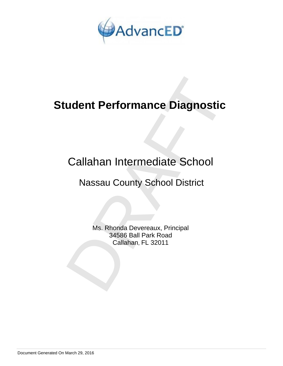

# **Student Performance Diagnostic**

# Callahan Intermediate School

## Nassau County School District

**udent Performance Diagnostic<br>
Callahan Intermediate School<br>
Nassau County School District<br>
Ms. Rhonda Devereaux, Principal<br>
34586 Ball Park Road<br>
Callahan, FL 32011** Ms. Rhonda Devereaux, Principal 34586 Ball Park Road Callahan, FL 32011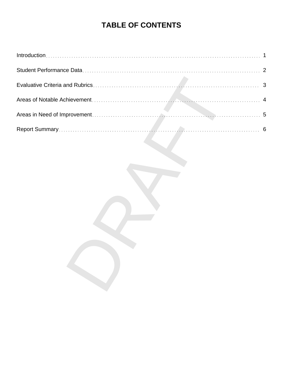## **TABLE OF CONTENTS**

| 1              |
|----------------|
| $\overline{2}$ |
|                |
| 4              |
| 5              |
|                |
|                |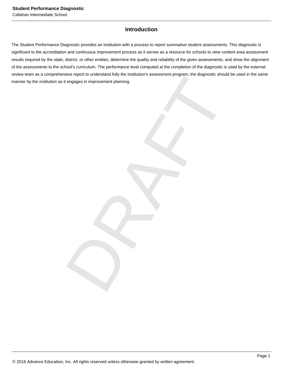Callahan Intermediate School

## **Introduction**

DRAFT The Student Performance Diagnostic provides an institution with a process to report summative student assessments. This diagnostic is significant to the accreditation and continuous improvement process as it serves as a resource for schools to view content area assessment results required by the state, district, or other entities, determine the quality and reliability of the given assessments, and show the alignment of the assessments to the school's curriculum. The performance level computed at the completion of the diagnostic is used by the external review team as a comprehensive report to understand fully the institution's assessment program; the diagnostic should be used in the same manner by the institution as it engages in improvement planning.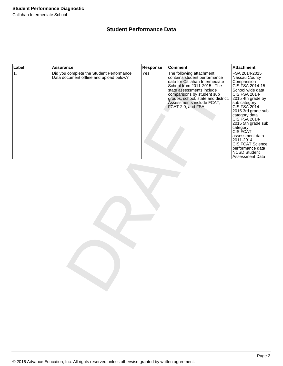#### Callahan Intermediate School

## **Student Performance Data**

| Label | <b>Assurance</b>                                                                    | Response | <b>Comment</b>                                                                                                                                                                                                                                                               | <b>Attachment</b>                                                                                                                                                                                                                                                                                                                                                            |
|-------|-------------------------------------------------------------------------------------|----------|------------------------------------------------------------------------------------------------------------------------------------------------------------------------------------------------------------------------------------------------------------------------------|------------------------------------------------------------------------------------------------------------------------------------------------------------------------------------------------------------------------------------------------------------------------------------------------------------------------------------------------------------------------------|
| 1.    | Did you complete the Student Performance<br>Data document offline and upload below? | Yes      | The following attachment<br>contains student performance<br>data for Callahan Intermediate<br>School from 2011-2015. The<br>state assessments include<br>comparisons by student sub<br>groups, school, state and district.<br>Assessments include FCAT,<br>FCAT 2.0, and FSA | FSA 2014-2015<br>Nassau County<br>Comparision<br>CIS FSA 2014-15<br>School wide data<br>CIS FSA 2014-<br>2015 4th grade by<br>sub category<br>CIS FSA 2014-<br>2015 3rd grade sub<br>category data<br>CIS FSA 2014-<br>2015 5th grade sub<br>category<br>CIS FCAT<br>assessment data<br>2011-2014<br>CIS FCAT Science<br>performance data<br>NCSD Student<br>Assessment Data |
|       |                                                                                     |          |                                                                                                                                                                                                                                                                              |                                                                                                                                                                                                                                                                                                                                                                              |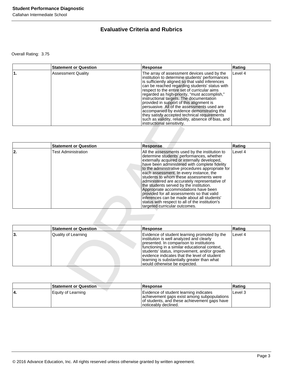Callahan Intermediate School

## **Evaluative Criteria and Rubrics**

Overall Rating: 3.75

| <b>Statement or Question</b> | <b>Response</b>                                                                                                                                                                                                                                                                                                                                                                                                                                                                                                                                                                                                                 | Rating  |
|------------------------------|---------------------------------------------------------------------------------------------------------------------------------------------------------------------------------------------------------------------------------------------------------------------------------------------------------------------------------------------------------------------------------------------------------------------------------------------------------------------------------------------------------------------------------------------------------------------------------------------------------------------------------|---------|
| <b>Assessment Quality</b>    | The array of assessment devices used by the<br>institution to determine students' performances<br>is sufficiently aligned so that valid inferences<br>can be reached regarding students' status with<br>respect to the entire set of curricular aims<br>regarded as high-priority, "must accomplish,"<br>instructional targets. The documentation<br>provided in support of this alignment is<br>persuasive. All of the assessments used are<br>accompanied by evidence demonstrating that<br>they satisfy accepted technical requirements<br>such as validity, reliability, absence of bias, and<br>instructional sensitivity. | Level 4 |

|    |                                                                                                                 | institution to determine students' performances<br>is sufficiently aligned so that valid inferences<br>can be reached regarding students' status with<br>respect to the entire set of curricular aims<br>regarded as high-priority, "must accomplish,"<br>instructional targets. The documentation<br>provided in support of this alignment is<br>persuasive. All of the assessments used are<br>accompanied by evidence demonstrating that<br>they satisfy accepted technical requirements<br>such as validity, reliability, absence of bias, and<br>instructional sensitivity.                                                                           |         |
|----|-----------------------------------------------------------------------------------------------------------------|------------------------------------------------------------------------------------------------------------------------------------------------------------------------------------------------------------------------------------------------------------------------------------------------------------------------------------------------------------------------------------------------------------------------------------------------------------------------------------------------------------------------------------------------------------------------------------------------------------------------------------------------------------|---------|
|    | <b>Statement or Question</b>                                                                                    | <b>Response</b>                                                                                                                                                                                                                                                                                                                                                                                                                                                                                                                                                                                                                                            | Rating  |
| 2. | <b>Test Administration</b>                                                                                      | All the assessments used by the institution to<br>determine students' performances, whether<br>externally acquired or internally developed,<br>have been administered with complete fidelity<br>to the administrative procedures appropriate for<br>each assessment. In every instance, the<br>students to whom these assessments were<br>administered are accurately representative of<br>the students served by the institution.<br>Appropriate accommodations have been<br>provided for all assessments so that valid<br>inferences can be made about all students'<br>status with respect to all of the institution's<br>targeted curricular outcomes. | Level 4 |
|    |                                                                                                                 |                                                                                                                                                                                                                                                                                                                                                                                                                                                                                                                                                                                                                                                            |         |
|    | <b>Statement or Question</b>                                                                                    | <b>Response</b>                                                                                                                                                                                                                                                                                                                                                                                                                                                                                                                                                                                                                                            | Rating  |
| 3. | Quality of Learning                                                                                             | Evidence of student learning promoted by the<br>institution is well analyzed and clearly<br>presented. In comparison to institutions<br>functioning in a similar educational context,<br>students' status, improvement, and/or growth<br>evidence indicates that the level of student<br>learning is substantially greater than what<br>would otherwise be expected.                                                                                                                                                                                                                                                                                       | Level 4 |
|    | <b>Statement or Question</b>                                                                                    | <b>Response</b>                                                                                                                                                                                                                                                                                                                                                                                                                                                                                                                                                                                                                                            | Rating  |
|    | the contract of the contract of the contract of the contract of the contract of the contract of the contract of | -                                                                                                                                                                                                                                                                                                                                                                                                                                                                                                                                                                                                                                                          |         |

|     | <b>Statement or Question</b> | <b>Response</b>                                                                                                                                                                                                                                                                                                                                                      | Rating  |
|-----|------------------------------|----------------------------------------------------------------------------------------------------------------------------------------------------------------------------------------------------------------------------------------------------------------------------------------------------------------------------------------------------------------------|---------|
| ∣3. | Quality of Learning          | Evidence of student learning promoted by the<br>institution is well analyzed and clearly<br>presented. In comparison to institutions<br>functioning in a similar educational context,<br>students' status, improvement, and/or growth<br>evidence indicates that the level of student<br>learning is substantially greater than what<br>would otherwise be expected. | Level 4 |

| <b>Statement or Question</b> | <b>Response</b>                                                                                                                                                | Rating  |
|------------------------------|----------------------------------------------------------------------------------------------------------------------------------------------------------------|---------|
| Equity of Learning           | Evidence of student learning indicates<br>achievement gaps exist among subpopulations<br>of students, and these achievement gaps have<br>Inoticeably declined. | Level 3 |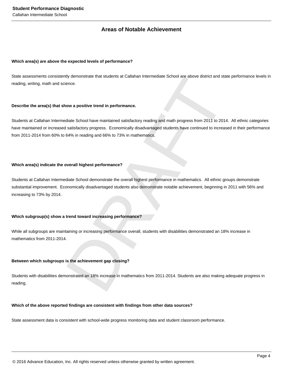### **Areas of Notable Achievement**

#### **Which area(s) are above the expected levels of performance?**

State assessments consistently demonstrate that students at Callahan Intermediate School are above district and state performance levels in reading, writing, math and science.

#### **Describe the area(s) that show a positive trend in performance.**

Students at Callahan Intermediate School have maintained satisfactory reading and math progress from 2011 to 2014. All ethnic categories have maintained or increased satisfactory progress. Economically disadvantaged students have continued to increased in their performance from 2011-2014 from 60% to 64% in reading and 66% to 73% in mathematics.

#### **Which area(s) indicate the overall highest performance?**

rly demonstrate that students at Callahan Intermediate School are above district and state perform<br>aince.<br>Now a positive trend in performance.<br>Notice School have maintained satisfactory reading and math progress from 2011 Students at Callahan Intermediate School demonstrate the overall highest performance in mathematics. All ethnic groups demonstrate substantial improvement. Economically disadvantaged students also demonstrate notable achievement, beginning in 2011 with 56% and increasing to 73% by 2014.

#### **Which subgroup(s) show a trend toward increasing performance?**

While all subgroups are maintaining or increasing performance overall, students with disabilities demonstrated an 18% increase in mathematics from 2011-2014.

#### **Between which subgroups is the achievement gap closing?**

Students with disabilities demonstrated an 18% increase in mathematics from 2011-2014. Students are also making adequate progress in reading.

#### **Which of the above reported findings are consistent with findings from other data sources?**

State assessment data is consistent with school-wide progress monitoring data and student classroom performance.

© 2016 Advance Education, Inc. All rights reserved unless otherwise granted by written agreement.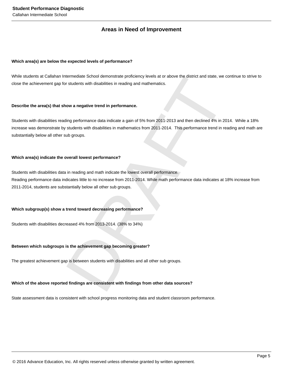### **Areas in Need of Improvement**

#### **Which area(s) are below the expected levels of performance?**

While students at Callahan Intermediate School demonstrate proficiency levels at or above the district and state, we continue to strive to close the achievement gap for students with disabilities in reading and mathematics.

#### **Describe the area(s) that show a negative trend in performance.**

Students with disabilities reading performance data indicate a gain of 5% from 2011-2013 and then declined 4% in 2014. While a 18% increase was demonstrate by students with disabilities in mathematics from 2011-2014. This performance trend in reading and math are substantially below all other sub groups.

#### **Which area(s) indicate the overall lowest performance?**

ntermediate School demonstrate proficiency levels at or above the district and state, we continue to<br>students with disabilities in reading and mathematics.<br>Now a negative trend in performance.<br>Now a negative trend in perfo Students with disabilities data in reading and math indicate the lowest overall performance. Reading performance data indicates little to no increase from 2011-2014. While math performance data indicates at 18% increase from 2011-2014, students are substantially below all other sub groups.

#### **Which subgroup(s) show a trend toward decreasing performance?**

Students with disabilities decreased 4% from 2013-2014. (38% to 34%)

#### **Between which subgroups is the achievement gap becoming greater?**

The greatest achievement gap is between students with disabilities and all other sub groups.

#### **Which of the above reported findings are consistent with findings from other data sources?**

State assessment data is consistent with school progress monitoring data and student classroom performance.